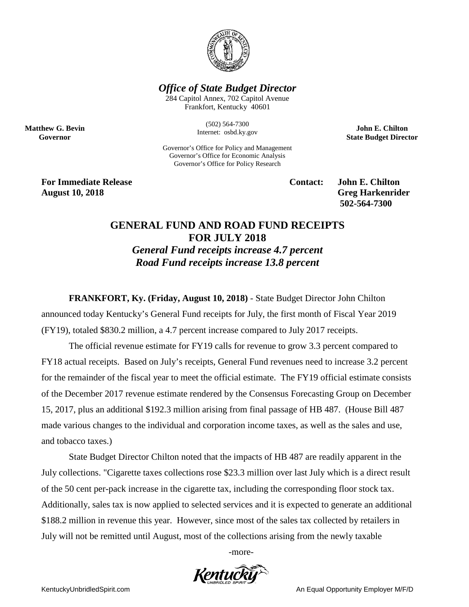

## *Office of State Budget Director*

284 Capitol Annex, 702 Capitol Avenue Frankfort, Kentucky 40601

> (502) 564-7300 Internet: osbd.ky.gov

Governor's Office for Policy and Management Governor's Office for Economic Analysis Governor's Office for Policy Research

**John E. Chilton State Budget Director**

**For Immediate Release Contact: John E. Chilton August 10, 2018** Greg Harkenrider

**Matthew G. Bevin Governor**

**502-564-7300** 

## **GENERAL FUND AND ROAD FUND RECEIPTS FOR JULY 2018** *General Fund receipts increase 4.7 percent Road Fund receipts increase 13.8 percent*

**FRANKFORT, Ky. (Friday, August 10, 2018)** - State Budget Director John Chilton

announced today Kentucky's General Fund receipts for July, the first month of Fiscal Year 2019 (FY19), totaled \$830.2 million, a 4.7 percent increase compared to July 2017 receipts.

The official revenue estimate for FY19 calls for revenue to grow 3.3 percent compared to FY18 actual receipts. Based on July's receipts, General Fund revenues need to increase 3.2 percent for the remainder of the fiscal year to meet the official estimate. The FY19 official estimate consists of the December 2017 revenue estimate rendered by the Consensus Forecasting Group on December 15, 2017, plus an additional \$192.3 million arising from final passage of HB 487. (House Bill 487 made various changes to the individual and corporation income taxes, as well as the sales and use, and tobacco taxes.)

State Budget Director Chilton noted that the impacts of HB 487 are readily apparent in the July collections. "Cigarette taxes collections rose \$23.3 million over last July which is a direct result of the 50 cent per-pack increase in the cigarette tax, including the corresponding floor stock tax. Additionally, sales tax is now applied to selected services and it is expected to generate an additional \$188.2 million in revenue this year. However, since most of the sales tax collected by retailers in July will not be remitted until August, most of the collections arising from the newly taxable

-more-

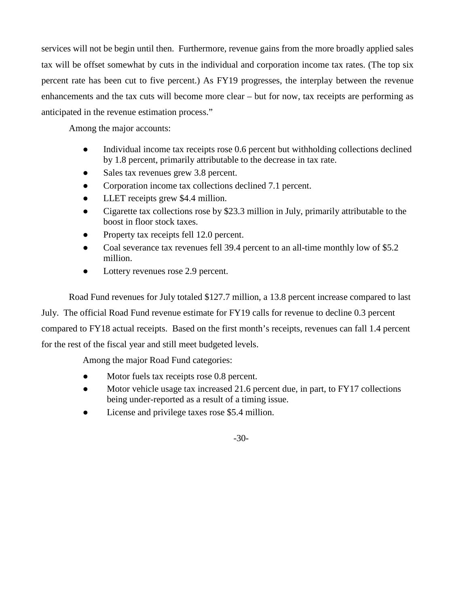services will not be begin until then. Furthermore, revenue gains from the more broadly applied sales tax will be offset somewhat by cuts in the individual and corporation income tax rates. (The top six percent rate has been cut to five percent.) As FY19 progresses, the interplay between the revenue enhancements and the tax cuts will become more clear – but for now, tax receipts are performing as anticipated in the revenue estimation process."

Among the major accounts:

- Individual income tax receipts rose 0.6 percent but withholding collections declined by 1.8 percent, primarily attributable to the decrease in tax rate.
- Sales tax revenues grew 3.8 percent.
- Corporation income tax collections declined 7.1 percent.
- LLET receipts grew \$4.4 million.
- Cigarette tax collections rose by \$23.3 million in July, primarily attributable to the boost in floor stock taxes.
- Property tax receipts fell 12.0 percent.
- Coal severance tax revenues fell 39.4 percent to an all-time monthly low of \$5.2 million.
- Lottery revenues rose 2.9 percent.

Road Fund revenues for July totaled \$127.7 million, a 13.8 percent increase compared to last July. The official Road Fund revenue estimate for FY19 calls for revenue to decline 0.3 percent compared to FY18 actual receipts. Based on the first month's receipts, revenues can fall 1.4 percent for the rest of the fiscal year and still meet budgeted levels.

Among the major Road Fund categories:

- Motor fuels tax receipts rose 0.8 percent.
- Motor vehicle usage tax increased 21.6 percent due, in part, to FY17 collections being under-reported as a result of a timing issue.
- License and privilege taxes rose \$5.4 million.

-30-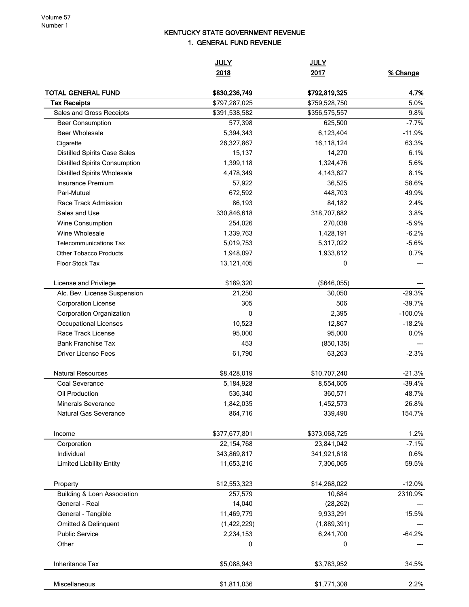## KENTUCKY STATE GOVERNMENT REVENUE 1. GENERAL FUND REVENUE

|                                                  | <b>JULY</b><br>2018            | <b>JULY</b><br>2017            | % Change           |
|--------------------------------------------------|--------------------------------|--------------------------------|--------------------|
|                                                  |                                |                                |                    |
| <b>TOTAL GENERAL FUND</b>                        | \$830,236,749<br>\$797,287,025 | \$792,819,325                  | 4.7%<br>5.0%       |
| <b>Tax Receipts</b><br>Sales and Gross Receipts  | \$391,538,582                  | \$759,528,750<br>\$356,575,557 | 9.8%               |
| <b>Beer Consumption</b>                          | 577,398                        | 625,500                        | $-7.7%$            |
| <b>Beer Wholesale</b>                            | 5,394,343                      | 6,123,404                      | $-11.9%$           |
|                                                  | 26,327,867                     | 16,118,124                     | 63.3%              |
| Cigarette<br><b>Distilled Spirits Case Sales</b> | 15,137                         | 14,270                         | 6.1%               |
| <b>Distilled Spirits Consumption</b>             | 1,399,118                      | 1,324,476                      | 5.6%               |
| <b>Distilled Spirits Wholesale</b>               | 4,478,349                      | 4,143,627                      | 8.1%               |
| Insurance Premium                                | 57,922                         | 36,525                         | 58.6%              |
| Pari-Mutuel                                      |                                |                                | 49.9%              |
| Race Track Admission                             | 672,592<br>86,193              | 448,703                        | 2.4%               |
| Sales and Use                                    | 330,846,618                    | 84,182<br>318,707,682          | 3.8%               |
|                                                  |                                | 270,038                        | $-5.9%$            |
| Wine Consumption<br>Wine Wholesale               | 254,026                        |                                |                    |
|                                                  | 1,339,763                      | 1,428,191                      | $-6.2%$<br>$-5.6%$ |
| <b>Telecommunications Tax</b>                    | 5,019,753                      | 5,317,022                      |                    |
| <b>Other Tobacco Products</b>                    | 1,948,097                      | 1,933,812                      | 0.7%               |
| <b>Floor Stock Tax</b>                           | 13,121,405                     | 0                              |                    |
| License and Privilege                            | \$189,320                      | (\$646,055)                    |                    |
| Alc. Bev. License Suspension                     | 21,250                         | 30,050                         | $-29.3%$           |
| <b>Corporation License</b>                       | 305                            | 506                            | $-39.7%$           |
| Corporation Organization                         | 0                              | 2,395                          | $-100.0%$          |
| Occupational Licenses                            | 10,523                         | 12,867                         | $-18.2%$           |
| Race Track License                               | 95,000                         | 95,000                         | 0.0%               |
| <b>Bank Franchise Tax</b>                        | 453                            | (850, 135)                     |                    |
| <b>Driver License Fees</b>                       | 61,790                         | 63,263                         | $-2.3%$            |
| <b>Natural Resources</b>                         | \$8,428,019                    | \$10,707,240                   | $-21.3%$           |
| Coal Severance                                   | 5,184,928                      | 8,554,605                      | $-39.4%$           |
| Oil Production                                   | 536,340                        | 360,571                        | 48.7%              |
| <b>Minerals Severance</b>                        | 1,842,035                      | 1,452,573                      | 26.8%              |
| <b>Natural Gas Severance</b>                     | 864,716                        | 339,490                        | 154.7%             |
| Income                                           | \$377,677,801                  | \$373,068,725                  | 1.2%               |
| Corporation                                      | 22, 154, 768                   | 23,841,042                     | $-7.1%$            |
| Individual                                       | 343,869,817                    | 341,921,618                    | 0.6%               |
| <b>Limited Liability Entity</b>                  | 11,653,216                     | 7,306,065                      | 59.5%              |
| Property                                         | \$12,553,323                   | \$14,268,022                   | $-12.0%$           |
| <b>Building &amp; Loan Association</b>           | 257,579                        | 10,684                         | 2310.9%            |
| General - Real                                   | 14,040                         | (28, 262)                      |                    |
| General - Tangible                               | 11,469,779                     | 9,933,291                      | 15.5%              |
| Omitted & Delinquent                             | (1,422,229)                    | (1,889,391)                    |                    |
| <b>Public Service</b>                            | 2,234,153                      | 6,241,700                      | $-64.2%$           |
| Other                                            | 0                              | 0                              |                    |
| Inheritance Tax                                  | \$5,088,943                    | \$3,783,952                    | 34.5%              |
| Miscellaneous                                    | \$1,811,036                    | \$1,771,308                    | 2.2%               |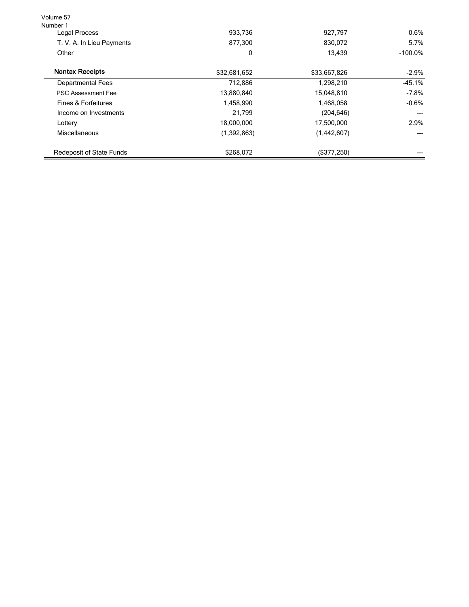| Volume 57<br>Number 1              |              |                   |                    |                        |
|------------------------------------|--------------|-------------------|--------------------|------------------------|
| Legal Process                      | 933,736      | 927,797           | 0.6%               |                        |
| T. V. A. In Lieu Payments<br>Other | 877.300<br>0 | 830.072<br>13,439 | 5.7%<br>$-100.0\%$ |                        |
|                                    |              |                   |                    | <b>Nontax Receipts</b> |
| <b>Departmental Fees</b>           | 712,886      | 1,298,210         | $-45.1%$           |                        |
| <b>PSC Assessment Fee</b>          | 13,880,840   | 15,048,810        | $-7.8%$            |                        |
| Fines & Forfeitures                | 1,458,990    | 1,468,058         | $-0.6%$            |                        |
| Income on Investments              | 21.799       | (204, 646)        |                    |                        |
| Lottery                            | 18,000,000   | 17,500,000        | 2.9%               |                        |
| Miscellaneous                      | (1,392,863)  | (1,442,607)       |                    |                        |
| <b>Redeposit of State Funds</b>    | \$268,072    | (\$377,250)       |                    |                        |